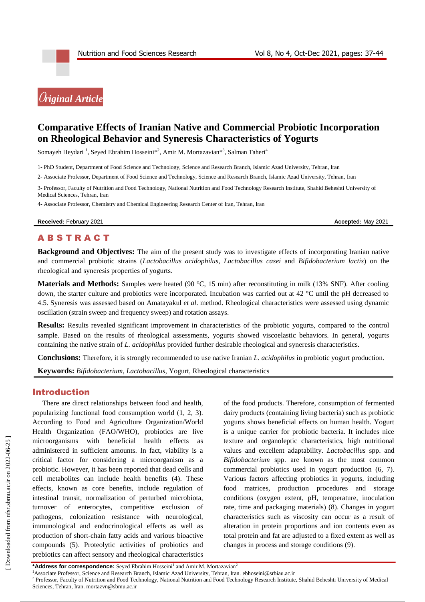

# **Comparative Effects of Iranian Native and Commercial Probiotic Incorporation on Rheological Behavior and Syneresis Characteristics of Yogurts**

Somayeh Heydari <sup>1</sup>, Seyed Ebrahim Hosseini\*<sup>2</sup>, Amir M. Mortazavian\*<sup>3</sup>, Salman Taheri<sup>4</sup>

1- PhD Student, Department of Food Science and Technology, Science and Research Branch, Islamic Azad University, Tehran, Iran

2- Associate Professor, Department of Food Science and Technology, Science and Research Branch, Islamic Azad University, Tehran, Iran

3- Professor, Faculty of Nutrition and Food Technology, National Nutrition and Food Technology Research Institute, Shahid Beheshti University of Medical Sciences, Tehran, Iran

4- Associate Professor, Chemistry and Chemical Engineering Research Center of Iran, Tehran, Iran

**Received:** February 2021 **Accepted:** May 2021

**ABSTRACT** 

**Background and Objectives:** The aim of the present study was to investigate effects of incorporating Iranian native and commercial probiotic strains (*Lactobacillus acidophilus*, *Lactobacillus casei* and *Bifidobacterium lactis*) on the rheological and syneresis properties of yogurts.

**Materials and Methods:** Samples were heated (90 °C, 15 min) after reconstituting in milk (13% SNF). After cooling down, the starter culture and probiotics were incorporated. Incubation was carried out at 42 °C until the pH decreased to 4.5. Syneresis was assessed based on Amatayakul *et al*. method. Rheological characteristics were assessed using dynamic oscillation (strain sweep and frequency sweep) and rotation assays.

**Results:** Results revealed significant improvement in characteristics of the probiotic yogurts, compared to the control sample. Based on the results of rheological assessments, yogurts showed viscoelastic behaviors. In general, yogurts containing the native strain of *L. acidophilus* provided further desirable rheological and syneresis characteristics.

**Conclusions:** Therefore, it is strongly recommended to use native Iranian *L. acidophilus* in probiotic yogurt production.

**Keywords:** *Bifidobacterium*, *Lactobacillus*, Yogurt, Rheological characteristics

#### Introduction

There are direct relationships between food and health, popularizing functional food consumption world (1, 2, 3). According to Food and Agriculture Organization/World Health Organization (FAO/WHO), probiotics are live microorganisms with beneficial health effects administered in sufficient amounts. In fact, viability is a critical factor for considering a microorganism as a probiotic. However, it has been reported that dead cells and cell metabolites can include health benefits (4). These effects, known as core benefits, include regulation of intestinal transit, normalization of perturbed microbiota, turnover of enterocytes, competitive exclusion of pathogens, colonization resistance with neurological, immunological and endocrinological effects as well as production of short-chain fatty acids and various bioactive compounds (5). Proteolytic activities of probiotics and prebiotics can affect sensory and rheological characteristics

of the food products. Therefore, consumption of fermented dairy products (containing living bacteria) such as probiotic yogurts shows beneficial effects on human health. Yogurt is a unique carrier for probiotic bacteria. It includes nice texture and organoleptic characteristics, high nutritional values and excellent adaptability. *Lactobacillus* spp. and *Bifidobacterium* spp. are known as the most common commercial probiotics used in yogurt production (6, 7). Various factors affecting probiotics in yogurts, including food matrices, production procedures and storage conditions (oxygen extent, pH, temperature, inoculation rate, time and packaging materials) (8). Changes in yogurt characteristics such as viscosity can occur as a result of alteration in protein proportions and ion contents even as total protein and fat are adjusted to a fixed extent as well as changes in process and storage conditions (9).

<sup>\*</sup>Address for correspondence: Seyed Ebrahim Hosseini<sup>1</sup> and Amir M. Mortazavian<sup>2</sup>

<sup>1</sup>Associate Professor, Science and Research Branch, Islamic Azad University, Tehran, Iran. [ebhoseini@srbiau.ac.ir](mailto:ebhoseini@srbiau.ac.ir)

<sup>&</sup>lt;sup>2</sup> Professor, Faculty of Nutrition and Food Technology, National Nutrition and Food Technology Research Institute, Shahid Beheshti University of Medical Sciences, Tehran, Iran. mortazvn@sbmu.ac.ir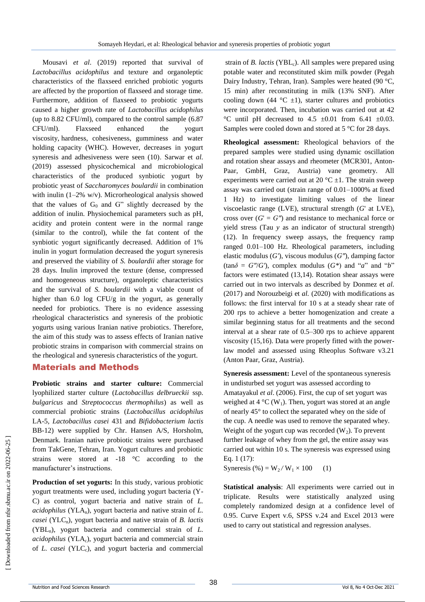Mousavi *et al*. (2019) reported that survival of *Lactobacillus acidophilus* and texture and organoleptic characteristics of the flaxseed enriched probiotic yogurts are affected by the proportion of flaxseed and storage time. Furthermore, addition of flaxseed to probiotic yogurts caused a higher growth rate of *Lactobacillus acidophilus* (up to 8.82 CFU/ml), compared to the control sample (6.87 CFU/ml). Flaxseed enhanced the yogurt viscosity, hardness, cohesiveness, gumminess and water holding capacity (WHC). However, decreases in yogurt syneresis and adhesiveness were seen (10). Sarwar et *al.* (2019) assessed physicochemical and microbiological characteristics of the produced synbiotic yogurt by probiotic yeast of *Saccharomyces boulardii* in combination with inulin (1–2% w/v). Microrheological analysis showed that the values of  $G_0$  and  $G''$  slightly decreased by the addition of inulin. Physiochemical parameters such as pH, acidity and protein content were in the normal range (similar to the control), while the fat content of the synbiotic yogurt significantly decreased. Addition of 1% inulin in yogurt formulation decreased the yogurt syneresis and preserved the viability of *S. boulardii* after storage for 28 days. Inulin improved the texture (dense, compressed and homogeneous structure), organoleptic characteristics and the survival of *S. boulardii* with a viable count of higher than 6.0 log CFU/g in the yogurt, as generally needed for probiotics. There is no evidence assessing rheological characteristics and syneresis of the probiotic yogurts using various Iranian native probiotics. Therefore, the aim of this study was to assess effects of Iranian native probiotic strains in comparison with commercial strains on the rheological and syneresis characteristics of the yogurt.

### Materials and Methods

**Probiotic strains and starter culture:** Commercial lyophilized starter culture (*Lactobacillus delbrueckii* ssp*. bulgaricus* and *Streptococcus thermophilus*) as well as commercial probiotic strains (*Lactobacillus acidophilus*  LA-5*, Lactobacillus casei* 431 and *Bifidobacterium lactis*  BB-12) were supplied by Chr. Hansen A/S, Horsholm, Denmark. Iranian native probiotic strains were purchased from TakGene, Tehran, Iran. Yogurt cultures and probiotic strains were stored at -18 °C according to the manufacturer's instructions.

**Production of set yogurts:** In this study, various probiotic yogurt treatments were used, including yogurt bacteria (Y-C) as control, yogurt bacteria and native strain of *L. acidophilus* (YLA<sub>n</sub>), yogurt bacteria and native strain of  $L$ . *casei* (YLC<sub>n</sub>), yogurt bacteria and native strain of *B. lactis* (YBLn), yogurt bacteria and commercial strain of *L. acidophilus* (YLA<sub>c</sub>), yogurt bacteria and commercial strain of *L. casei* (YLCc), and yogurt bacteria and commercial

strain of *B. lactis* (YBL<sub>c</sub>). All samples were prepared using potable water and reconstituted skim milk powder (Pegah Dairy Industry, Tehran, Iran). Samples were heated (90 °C, 15 min) after reconstituting in milk (13% SNF). After cooling down (44  $^{\circ}$ C  $\pm$ 1), starter cultures and probiotics were incorporated. Then, incubation was carried out at 42 °C until pH decreased to  $4.5 \pm 0.01$  from  $6.41 \pm 0.03$ . Samples were cooled down and stored at 5 °C for 28 days.

**Rheological assessment:** Rheological behaviors of the prepared samples were studied using dynamic oscillation and rotation shear assays and rheometer (MCR301, Anton-Paar, GmbH, Graz, Austria) vane geometry. All experiments were carried out at 20  $^{\circ}$ C  $\pm$ 1. The strain sweep assay was carried out (strain range of 0.01–1000% at fixed 1 Hz) to investigate limiting values of the linear viscoelastic range (LVE), structural strength (*G*' at LVE), cross over  $(G' = G'')$  and resistance to mechanical force or yield stress (Tau *y* as an indicator of structural strength) (12). In frequency sweep assays, the frequency ramp ranged 0.01–100 Hz. Rheological parameters, including elastic modulus (*G'*), viscous modulus (*G″*), damping factor  $(\tan \delta = G''/G')$ , complex modulus  $(G^*)$  and "*a*" and "*b*" factors were estimated (13,14). Rotation shear assays were carried out in two intervals as described by Donmez et *al.* (2017) and Norouzbeigi et *al.* (2020) with modifications as follows: the first interval for 10 s at a steady shear rate of 200 rps to achieve a better homogenization and create a similar beginning status for all treatments and the second interval at a shear rate of 0.5–300 rps to achieve apparent viscosity (15,16). Data were properly fitted with the powerlaw model and assessed using Rheoplus Software v3.21 (Anton Paar, Graz, Austria).

**Syneresis assessment:** Level of the spontaneous syneresis in undisturbed set yogurt was assessed according to Amatayakul *et al*. (2006). First, the cup of set yogurt was weighed at  $4 °C$  (W<sub>1</sub>). Then, yogurt was stored at an angle of nearly 45° to collect the separated whey on the side of the cup. A needle was used to remove the separated whey. Weight of the yogurt cup was recorded  $(W_2)$ . To prevent further leakage of whey from the gel, the entire assay was carried out within 10 s. The syneresis was expressed using Eq. 1 (17):

Syneresis (%) =  $W_2/W_1 \times 100$  (1)

**Statistical analysis**: All experiments were carried out in triplicate. Results were statistically analyzed using completely randomized design at a confidence level of 0.95. Curve Expert v.6, SPSS v.24 and Excel 2013 were used to carry out statistical and regression analyses.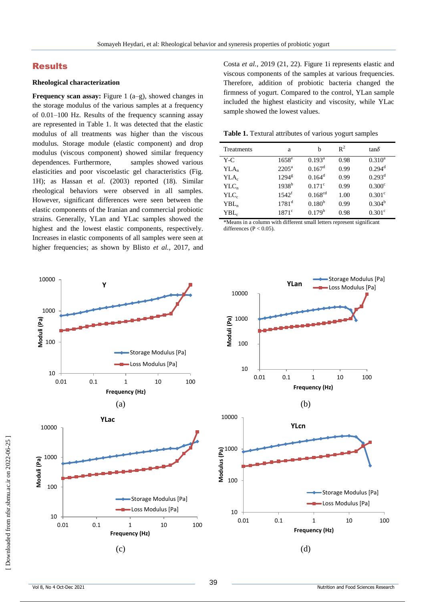### Results

#### **Rheological characterization**

**Frequency scan assay:** Figure 1 (a–g), showed changes in the storage modulus of the various samples at a frequency of 0.01–100 Hz. Results of the frequency scanning assay are represented in Table 1. It was detected that the elastic modulus of all treatments was higher than the viscous modulus. Storage module (elastic component) and drop modulus (viscous component) showed similar frequency dependences. Furthermore, samples showed various elasticities and poor viscoelastic gel characteristics (Fig. 1H); as Hassan et *al*. (2003) reported (18). Similar rheological behaviors were observed in all samples. However, significant differences were seen between the elastic components of the Iranian and commercial probiotic strains. Generally, YLan and YLac samples showed the highest and the lowest elastic components, respectively. Increases in elastic components of all samples were seen at higher frequencies; as shown by Blisto *et al.*, 2017, and



Costa *et al.*, 2019 (21, 22). Figure 1i represents elastic and viscous components of the samples at various frequencies. Therefore, addition of probiotic bacteria changed the firmness of yogurt. Compared to the control, YLan sample included the highest elasticity and viscosity, while YLac sample showed the lowest values.

**Table 1.** Textural attributes of various yogurt samples

| Treatments       | a                     | b               | $\mathbb{R}^2$ | $tan \delta$         |
|------------------|-----------------------|-----------------|----------------|----------------------|
| $Y-C$            | $1658^{\overline{e}}$ | $0.193^{\rm a}$ | 0.98           | $0.310^a$            |
| $YLA_n$          | $2205^{\mathrm{a}}$   | $0.167^d$       | 0.99           | $0.294$ <sup>d</sup> |
| YLA <sub>c</sub> | $1294^{\rm g}$        | $0.164^d$       | 0.99           | 0.293 <sup>d</sup>   |
| $YLC_n$          | $1938^{b}$            | $0.171^{\circ}$ | 0.99           | 0.300 <sup>c</sup>   |
| $YLC_c$          | 1542 <sup>f</sup>     | $0.168^{cd}$    | 1.00           | 0.301 <sup>c</sup>   |
| $YBL_n$          | $1781^{\rm d}$        | $0.180^{b}$     | 0.99           | $0.304^b$            |
| YBL <sub>c</sub> | $1871$ <sup>c</sup>   | $0.179^b$       | 0.98           | 0.301 <sup>c</sup>   |

\*Means in a column with different small letters represent significant differences ( $P < 0.05$ )

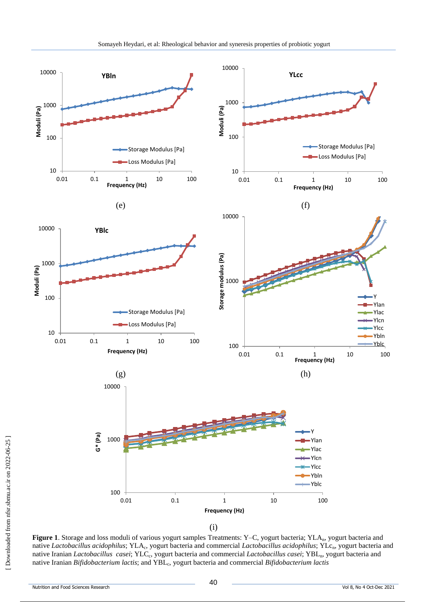

**Figure 1**. Storage and loss moduli of various yogurt samples Treatments: Y–C, yogurt bacteria; YLA<sub>n</sub>, yogurt bacteria and native Lactobacillus acidophilus; YLA<sub>c</sub>, yogurt bacteria and commercial Lactobacillus acidophilus; YLc<sub>n</sub>, yogurt bacteria and native Iranian *Lactobacillus casei*; YLC<sub>c</sub>, yogurt bacteria and commercial *Lactobacillus casei*; YBL<sub>n</sub>, yogurt bacteria and native Iranian Bifidobacterium lactis; and YBL<sub>c</sub>, yogurt bacteria and commercial Bifidobacterium lactis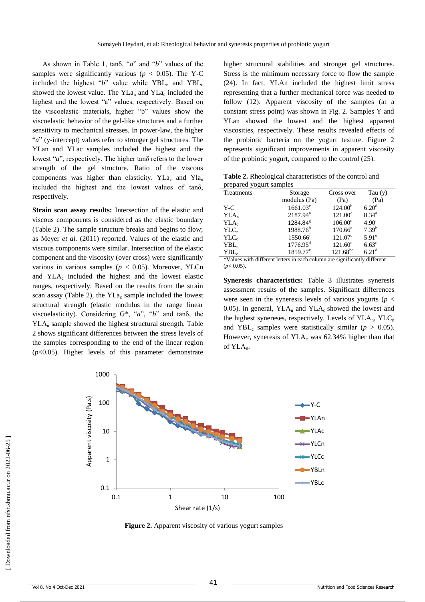As shown in Table 1, tanδ, "*a*" and "*b*" values of the samples were significantly various ( $p < 0.05$ ). The Y-C included the highest " $b$ " value while YBL<sub>n</sub> and YBL<sub>c</sub> showed the lowest value. The  $YLa_n$  and  $YLa_c$  included the highest and the lowest "a" values, respectively. Based on the viscoelastic materials, higher "b" values show the viscoelastic behavior of the gel-like structures and a further sensitivity to mechanical stresses. In power-law, the higher "*a*" (y-intercept) values refer to stronger gel structures. The YLan and YLac samples included the highest and the lowest "*a*", respectively. The higher tanδ refers to the lower strength of the gel structure. Ratio of the viscous components was higher than elasticity.  $YLa<sub>c</sub>$  and  $Yla<sub>n</sub>$ included the highest and the lowest values of tanδ, respectively.

**Strain scan assay results:** Intersection of the elastic and viscous components is considered as the elastic boundary (Table 2). The sample structure breaks and begins to flow; as Meyer *et al.* (2011) reported. Values of the elastic and viscous components were similar. Intersection of the elastic component and the viscosity (over cross) were significantly various in various samples ( $p < 0.05$ ). Moreover, YLCn and  $YLA<sub>c</sub>$  included the highest and the lowest elastic ranges, respectively. Based on the results from the strain scan assay (Table 2), the  $YLa<sub>c</sub>$  sample included the lowest structural strength (elastic modulus in the range linear viscoelasticity). Considering G<sup>\*</sup>, "*a*", "*b*" and tanδ, the YLA<sup>n</sup> sample showed the highest structural strength. Table 2 shows significant differences between the stress levels of the samples corresponding to the end of the linear region (*p*<0.05). Higher levels of this parameter demonstrate

higher structural stabilities and stronger gel structures. Stress is the minimum necessary force to flow the sample (24). In fact, YLAn included the highest limit stress representing that a further mechanical force was needed to follow  $(12)$ . Apparent viscosity of the samples (at a constant stress point) was shown in Fig. 2. Samples Y and YLan showed the lowest and the highest apparent viscosities, respectively. These results revealed effects of the probiotic bacteria on the yogurt texture. Figure 2 represents significant improvements in apparent viscosity of the probiotic yogurt, compared to the control  $(25)$ .

| Table 2. Rheological characteristics of the control and |
|---------------------------------------------------------|
| prepared yogurt samples                                 |

| Treatments       | Storage              | Cross over          | Tau $(y)$         |
|------------------|----------------------|---------------------|-------------------|
|                  | modulus (Pa)         | (Pa)                | (Pa)              |
| $Y-C$            | $1661.03^e$          | 124.00 <sup>b</sup> | 6.20 <sup>d</sup> |
| $YLA_n$          | 2187.94 <sup>a</sup> | $121.00^{\circ}$    | $8.34^{a}$        |
| YLA <sub>c</sub> | 1284.84 <sup>g</sup> | $106.00^d$          | 4.90 <sup>f</sup> |
| $YLC_n$          | $1988.76^b$          | $170.66^{\circ}$    | $7.39^{b}$        |
| $YLC_c$          | 1550.66 <sup>f</sup> | $121.07^{\circ}$    | $5.91^{\circ}$    |
| $YBL_n$          | $1776.95^d$          | $121.60^{\circ}$    | $6.63^{\circ}$    |
| ${\rm YBL}_c$    | $1859.77^{\circ}$    | $121.68^{bc}$       | 6.21 <sup>d</sup> |

\*Values with different letters in each column are significantly different (*p*< 0.05).

**Syneresis characteristics:** Table 3 illustrates syneresis assessment results of the samples. Significant differences were seen in the syneresis levels of various yogurts (*p* < 0.05). in general,  $YLA_n$  and  $YLA_c$  showed the lowest and the highest synereses, respectively. Levels of  $YLA_n$ ,  $YLC_n$ and YBL<sub>c</sub> samples were statistically similar ( $p > 0.05$ ). However, syneresis of  $YLA<sub>c</sub>$  was 62.34% higher than that of YLA<sub>n</sub>.



**Figure 2.** Apparent viscosity of various yogurt samples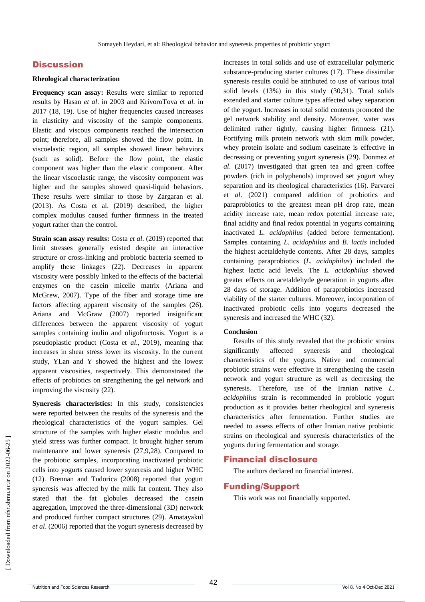## **Discussion**

#### **Rheological characterization**

**Frequency scan assay:** Results were similar to reported results by Hasan *et al*. in 2003 and KrivoroTova et *al.* in 2017 (18, 19). Use of higher frequencies caused increases in elasticity and viscosity of the sample components. Elastic and viscous components reached the intersection point; therefore, all samples showed the flow point. In viscoelastic region, all samples showed linear behaviors (such as solid). Before the flow point, the elastic component was higher than the elastic component. After the linear viscoelastic range, the viscosity component was higher and the samples showed quasi-liquid behaviors. These results were similar to those by Zargaran et al. (2013). As Costa et al. (2019) described, the higher complex modulus caused further firmness in the treated yogurt rather than the control.

**Strain scan assay results:** Costa *et al*. (2019) reported that limit stresses generally existed despite an interactive structure or cross-linking and probiotic bacteria seemed to amplify these linkages (22). Decreases in apparent viscosity were possibly linked to the effects of the bacterial enzymes on the casein micelle matrix (Ariana and McGrew, 2007). Type of the fiber and storage time are factors affecting apparent viscosity of the samples (26). Ariana and McGraw (2007) reported insignificant differences between the apparent viscosity of yogurt samples containing inulin and oligofructosis. Yogurt is a pseudoplastic product (Costa et *al*., 2019), meaning that increases in shear stress lower its viscosity. In the current study, YLan and Y showed the highest and the lowest apparent viscosities, respectively. This demonstrated the effects of probiotics on strengthening the gel network and improving the viscosity (22).

**Syneresis characteristics:** In this study, consistencies were reported between the results of the syneresis and the rheological characteristics of the yogurt samples. Gel structure of the samples with higher elastic modulus and yield stress was further compact. It brought higher serum maintenance and lower syneresis (27,9,28). Compared to the probiotic samples, incorporating inactivated probiotic cells into yogurts caused lower syneresis and higher WHC (12). Brennan and Tudorica (2008) reported that yogurt syneresis was affected by the milk fat content. They also stated that the fat globules decreased the casein aggregation, improved the three-dimensional (3D) network and produced further compact structures (29). Amatayakul *et al*. (2006) reported that the yogurt syneresis decreased by

increases in total solids and use of extracellular polymeric substance-producing starter cultures (17)*.* These dissimilar syneresis results could be attributed to use of various total solid levels (13%) in this study (30,31). Total solids extended and starter culture types affected whey separation of the yogurt. Increases in total solid contents promoted the gel network stability and density. Moreover, water was delimited rather tightly, causing higher firmness (21). Fortifying milk protein network with skim milk powder, whey protein isolate and sodium caseinate is effective in decreasing or preventing yogurt syneresis (29). Donmez *et al*. (2017) investigated that green tea and green coffee powders (rich in polyphenols) improved set yogurt whey separation and its rheological characteristics (16). Parvarei et *al*. (2021) compared addition of probiotics and paraprobiotics to the greatest mean pH drop rate, mean acidity increase rate, mean redox potential increase rate, final acidity and final redox potential in yogurts containing inactivated *L. acidophilus* (added before fermentation). Samples containing *L. acidophilus* and *B. lactis* included the highest acetaldehyde contents. After 28 days, samples containing paraprobiotics (*L. acidophilus*) included the highest lactic acid levels. The *L. acidophilus* showed greater effects on acetaldehyde generation in yogurts after 28 days of storage. Addition of paraprobiotics increased viability of the starter cultures. Moreover, incorporation of inactivated probiotic cells into yogurts decreased the syneresis and increased the WHC (32).

#### **Conclusion**

Results of this study revealed that the probiotic strains significantly affected syneresis and rheological characteristics of the yogurts. Native and commercial probiotic strains were effective in strengthening the casein network and yogurt structure as well as decreasing the syneresis. Therefore, use of the Iranian native *L. acidophilus* strain is recommended in probiotic yogurt production as it provides better rheological and syneresis characteristics after fermentation. Further studies are needed to assess effects of other Iranian native probiotic strains on rheological and syneresis characteristics of the yogurts during fermentation and storage.

### Financial disclosure

The authors declared no financial interest.

### Funding/Support

This work was not financially supported.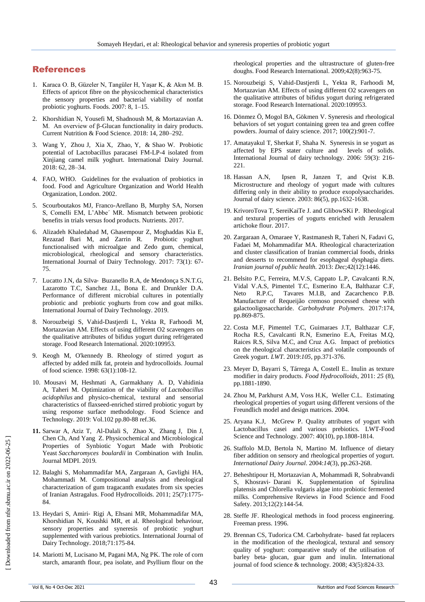# References

- 1. Karaca O. B, Güzeler N, Tangüler H, Yaşar K, & Akın M. B. Effects of apricot fibre on the physicochemical characteristics the sensory properties and bacterial viability of nonfat probiotic yoghurts. Foods. 2007: 8, 1–15.
- 2. Khorshidian N, Yousefi M, Shadnoush M, & Mortazavian A. M. An overview of β-Glucan functionality in dairy products. Current Nutrition & Food Science. 2018: 14, 280–292.
- 3. Wang Y, Zhou J, Xia X, Zhao, Y, & Shao W. Probiotic potential of Lactobacillus paracasei FM-LP-4 isolated from Xinjiang camel milk yoghurt. International Dairy Journal. 2018: 62, 28–34.
- 4. FAO, WHO. Guidelines for the evaluation of probiotics in food. Food and Agriculture Organization and World Health Organization, London. 2002.
- 5. Scourboutakos MJ, Franco-Arellano B, Murphy SA, Norsen S, Comelli EM, L'Abbe´ MR. Mismatch between probiotic benefits in trials versus food products. Nutrients. 2017.
- 6. Alizadeh Khaledabad M, Ghasempour Z, Moghaddas Kia E, Rezazad Bari M, and Zarrin R. Probiotic yoghurt functionalised with microalgae and Zedo gum, chemical, microbiological, rheological and sensory characteristics. International Journal of Dairy Technology. 2017: 73(1): 67- 75.
- 7. Lucatto J.N, da Silva‐ Buzanello R.A, de Mendonça S.N.T.G, Lazarotto T.C, Sanchez J.L, Bona E. and Drunkler D.A. Performance of different microbial cultures in potentially probiotic and prebiotic yoghurts from cow and goat milks. International Journal of Dairy Technology. 2019.
- 8. Norouzbeigi S, Vahid-Dastjerdi L, Yekta R, Farhoodi M, Mortazavian AM. Effects of using different O2 scavengers on the qualitative attributes of bifidus yogurt during refrigerated storage. Food Research International. 2020:109953.
- 9. Keogh M, O'kennedy B. Rheology of stirred yogurt as affected by added milk fat, protein and hydrocolloids. Journal of food science. 1998: 63(1):108-12.
- 10. [Mousavi M,](https://www.cabdirect.org/globalhealth/search/?q=au%3a%22Mousavi%2c+M.%22) [Heshmati A,](https://www.cabdirect.org/globalhealth/search/?q=au%3a%22Heshmati%2c+A.%22) [Garmakhany A. D,](https://www.cabdirect.org/globalhealth/search/?q=au%3a%22Garmakhany%2c+A.+D.%22) [Vahidinia](https://www.cabdirect.org/globalhealth/search/?q=au%3a%22Vahidinia%2c+A.%22)  [A,](https://www.cabdirect.org/globalhealth/search/?q=au%3a%22Vahidinia%2c+A.%22) [Taheri M.](https://www.cabdirect.org/globalhealth/search/?q=au%3a%22Taheri%2c+M.%22) Optimization of the viability of *Lactobacillus acidophilus* and physico-chemical, textural and sensorial characteristics of flaxseed-enriched stirred probiotic yogurt by using response surface methodology. [Food Science and](https://www.cabdirect.org/globalhealth/search/?q=do%3a%22LWT+-+Food+Science+and+Technology%22)  [Technology.](https://www.cabdirect.org/globalhealth/search/?q=do%3a%22LWT+-+Food+Science+and+Technology%22) 2019: Vol.102 pp.80-88 ref.36.
- **11.** Sarwar A, Aziz T, Al-Dalali S, Zhao X, Zhang J, Din J, Chen Ch, And Yang Z. Physicochemical and Microbiological Properties of Synbiotic Yogurt Made with Probiotic Yeast *Saccharomyces boulardii* in Combination with Inulin. Journal MDPI. 2019.
- 12. Balaghi S, Mohammadifar MA, Zargaraan A, Gavlighi HA, Mohammadi M. Compositional analysis and rheological characterization of gum tragacanth exudates from six species of Iranian Astragalus. Food Hydrocolloids. 2011; 25(7):1775- 84.
- 13. Heydari S, Amiri‐ Rigi A, Ehsani MR, Mohammadifar MA, Khorshidian N, Koushki MR, et al. Rheological behaviour, sensory properties and syneresis of probiotic yoghurt supplemented with various prebiotics. International Journal of Dairy Technology. 2018;71:175-84.
- 14. Mariotti M, Lucisano M, Pagani MA, Ng PK. The role of corn starch, amaranth flour, pea isolate, and Psyllium flour on the

rheological properties and the ultrastructure of gluten-free doughs. Food Research International. 2009;42(8):963-75.

- 15. Norouzbeigi S, Vahid-Dastjerdi L, Yekta R, Farhoodi M, Mortazavian AM. Effects of using different O2 scavengers on the qualitative attributes of bifidus yogurt during refrigerated storage. Food Research International. 2020:109953.
- 16. Dönmez Ö, Mogol BA, Gökmen V. Syneresis and rheological behaviors of set yogurt containing green tea and green coffee powders. Journal of dairy science. 2017; 100(2):901-7.
- 17. Amatayakul T, Sherkat F, Shaha N. Syneresis in se yogurt as affected by EPS stater culture and levels of solids. International Journal of dairy technology. 2006: 59(3): 216- 221.
- 18. Hassan A.N, Ipsen R, Janzen T, and Qvist K.B. Microstructure and rheology of yogurt made with cultures differing only in their ability to produce exopolysaccharides. Journal of dairy science. 2003: 86(5), pp.1632-1638.
- 19. KrivoroTova T, SereiKaiTe J. and GlibowSKi P. Rheological and textural properties of yogurts enriched with Jerusalem artichoke flour. 2017.
- 20. Zargaraan A, Omaraee Y, Rastmanesh R, Taheri N, Fadavi G, Fadaei M, Mohammadifar MA. Rheological characterization and cluster classification of Iranian commercial foods, drinks and desserts to recommend for esophageal dysphagia diets. *Iranian journal of public health.* 2013: *Dec*;42(12):1446.
- 21. Belsito P.C, Ferreira, M.V.S, Cappato L.P, Cavalcanti R.N, Vidal V.A.S, Pimentel T.C, Esmerino E.A, Balthazar C.F, Neto R.P.C, Tavares M.I.B, and Zacarchenco P.B. Manufacture of Requeijão cremoso processed cheese with galactooligosaccharide. *Carbohydrate Polymers*. 2017:174, pp.869-875.
- 22. Costa M.F, Pimentel T.C, Guimaraes J.T, Balthazar C.F, Rocha R.S, Cavalcanti R.N, Esmerino E.A, Freitas M.Q, Raices R.S, Silva M.C, and Cruz A.G. Impact of prebiotics on the rheological characteristics and volatile compounds of Greek yogurt. *LWT*. 2019:*105*, pp.371-376.
- 23. Meyer D, Bayarri S, Tárrega A, Costell E.. Inulin as texture modifier in dairy products. *Food Hydrocolloids*, 2011: *25* (8), pp.1881-1890.
- 24. Zhou M, Parkhurst A.M, Voss H.K, Weller C.L. Estimating rheological properties of yogurt using different versions of the Freundlich model and design matrices. 2004.
- 25. Aryana K.J, McGrew P. Quality attributes of yogurt with Lactobacillus casei and various prebiotics. LWT-Food Science and Technology. 2007: 40(10), pp.1808-1814.
- 26. Staffolo M.D, Bertola N, Martino M. Influence of dietary fiber addition on sensory and rheological properties of yogurt. *International Dairy Journal*. 2004:*14*(3), pp.263-268.
- 27. Beheshtipour H, Mortazavian A, Mohammadi R, Sohrabvandi S, Khosravi‐ Darani K. Supplementation of Spirulina platensis and Chlorella vulgaris algae into probiotic fermented milks. Comprehensive Reviews in Food Science and Food Safety. 2013;12(2):144-54.
- 28. Steffe JF. Rheological methods in food process engineering. Freeman press. 1996.
- 29. Brennan CS, Tudorica CM. Carbohydrate‐ based fat replacers in the modification of the rheological, textural and sensory quality of yoghurt: comparative study of the utilisation of barley beta‐ glucan, guar gum and inulin. International journal of food science & technology. 2008; 43(5):824-33.